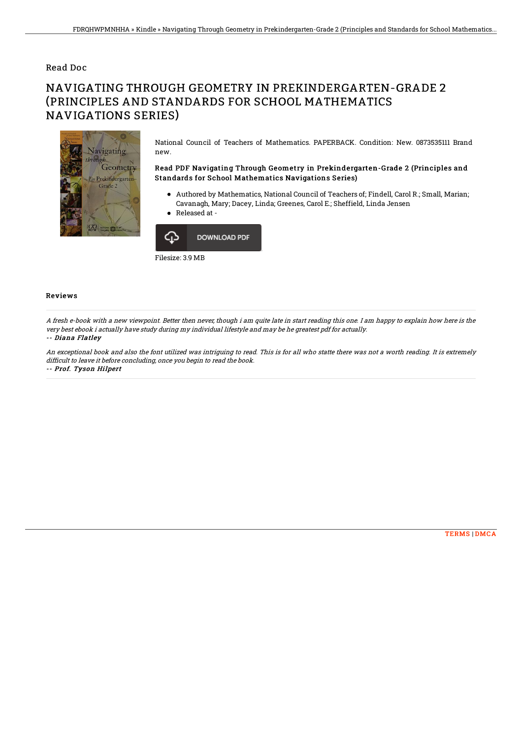## Read Doc

# NAVIGATING THROUGH GEOMETRY IN PREKINDERGARTEN-GRADE 2 (PRINCIPLES AND STANDARDS FOR SCHOOL MATHEMATICS NAVIGATIONS SERIES)



National Council of Teachers of Mathematics. PAPERBACK. Condition: New. 0873535111 Brand new.

### Read PDF Navigating Through Geometry in Prekindergarten-Grade 2 (Principles and Standards for School Mathematics Navigations Series)

- Authored by Mathematics, National Council of Teachers of; Findell, Carol R.; Small, Marian; Cavanagh, Mary; Dacey, Linda; Greenes, Carol E.; Sheffield, Linda Jensen
- Released at -



#### Reviews

A fresh e-book with <sup>a</sup> new viewpoint. Better then never, though i am quite late in start reading this one. I am happy to explain how here is the very best ebook i actually have study during my individual lifestyle and may be he greatest pdf for actually.

#### -- Diana Flatley

An exceptional book and also the font utilized was intriguing to read. This is for all who statte there was not <sup>a</sup> worth reading. It is extremely difficult to leave it before concluding, once you begin to read the book. -- Prof. Tyson Hilpert